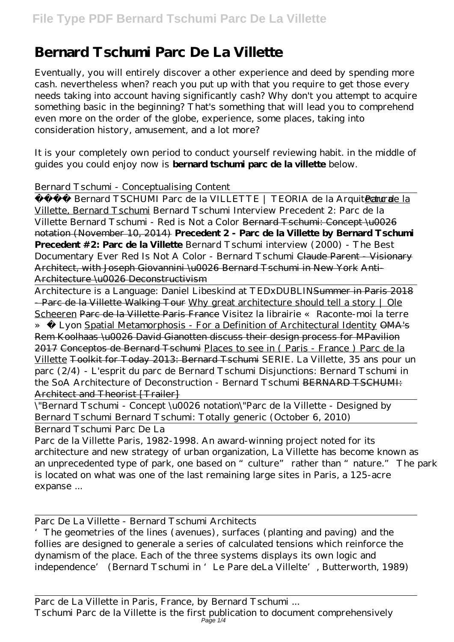## **Bernard Tschumi Parc De La Villette**

Eventually, you will entirely discover a other experience and deed by spending more cash. nevertheless when? reach you put up with that you require to get those every needs taking into account having significantly cash? Why don't you attempt to acquire something basic in the beginning? That's something that will lead you to comprehend even more on the order of the globe, experience, some places, taking into consideration history, amusement, and a lot more?

It is your completely own period to conduct yourself reviewing habit. in the middle of guides you could enjoy now is **bernard tschumi parc de la villette** below.

## *Bernard Tschumi - Conceptualising Content*

Bernard TSCHUMI Parc de la VILLETTE | TEORIA de la ArquitectuParc de la Villette, Bernard Tschumi Bernard Tschumi Interview *Precedent 2: Parc de la Villette* Bernard Tschumi - Red is Not a Color <del>Bernard Tschumi: Concept \u0026</del> notation (November 10, 2014) **Precedent 2 - Parc de la Villette by Bernard Tschumi Precedent #2: Parc de la Villette** Bernard Tschumi interview (2000) - The Best Documentary Ever Red Is Not A Color - Bernard Tschumi Claude Parent - Visionary Architect, with Joseph Giovannini \u0026 Bernard Tschumi in New York Anti-Architecture \u0026 Deconstructivism

Architecture is a Language: Daniel Libeskind at TEDxDUBLINSummer in Paris 2018 - Parc de la Villette Walking Tour Why great architecture should tell a story | Ole Scheeren Parc de la Villette Paris France *Visitez la librairie « Raconte-moi la terre » à Lyon* Spatial Metamorphosis - For a Definition of Architectural Identity OMA's Rem Koolhaas \u0026 David Gianotten discuss their design process for MPavilion 2017 Conceptos de Bernard Tschumi Places to see in ( Paris - France ) Parc de la Villette Toolkit for Today 2013: Bernard Tschumi *SERIE. La Villette, 35 ans pour un parc (2/4) - L'esprit du parc de Bernard Tschumi Disjunctions: Bernard Tschumi in the SoA Architecture of Deconstruction - Bernard Tschumi* BERNARD TSCHUMI: Architect and Theorist [Trailer]

\"Bernard Tschumi - Concept \u0026 notation\"*Parc de la Villette - Designed by Bernard Tschumi Bernard Tschumi: Totally generic (October 6, 2010)*

Bernard Tschumi Parc De La

Parc de la Villette Paris, 1982-1998. An award-winning project noted for its architecture and new strategy of urban organization, La Villette has become known as an unprecedented type of park, one based on "culture" rather than "nature." The park is located on what was one of the last remaining large sites in Paris, a 125-acre expanse ...

Parc De La Villette - Bernard Tschumi Architects

'The geometries of the lines (avenues), surfaces (planting and paving) and the follies are designed to generale a series of calculated tensions which reinforce the dynamism of the place. Each of the three systems displays its own logic and independence' (Bernard Tschumi in 'Le Pare deLa Villelte', Butterworth, 1989)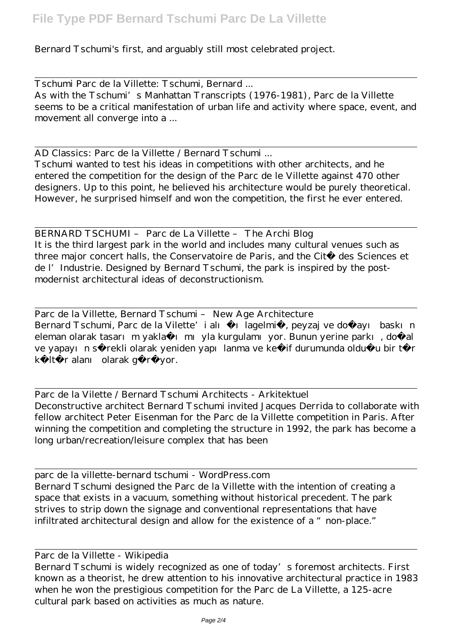Bernard Tschumi's first, and arguably still most celebrated project.

Tschumi Parc de la Villette: Tschumi, Bernard ... As with the Tschumi's Manhattan Transcripts (1976-1981), Parc de la Villette seems to be a critical manifestation of urban life and activity where space, event, and movement all converge into a ...

AD Classics: Parc de la Villette / Bernard Tschumi ... Tschumi wanted to test his ideas in competitions with other architects, and he entered the competition for the design of the Parc de le Villette against 470 other designers. Up to this point, he believed his architecture would be purely theoretical. However, he surprised himself and won the competition, the first he ever entered.

BERNARD TSCHUMI – Parc de La Villette – The Archi Blog It is the third largest park in the world and includes many cultural venues such as three major concert halls, the Conservatoire de Paris, and the Cité des Sciences et de l'Industrie. Designed by Bernard Tschumi, the park is inspired by the postmodernist architectural ideas of deconstructionism.

Parc de la Villette, Bernard Tschumi – New Age Architecture Bernard Tschumi, Parc de la Vilette'i alı 1 lagelmi, peyzaj ve doğayı baskın eleman olarak tasarım yakla 1 mı yla kurgulamı yor. Bunun yerine parkı, doğal ve yapayın sürekli olarak yeniden yapılanma ve kellif durumunda oldulu bir tür kültür alanı olarak görüyor.

Parc de la Vilette / Bernard Tschumi Architects - Arkitektuel Deconstructive architect Bernard Tschumi invited Jacques Derrida to collaborate with fellow architect Peter Eisenman for the Parc de la Villette competition in Paris. After winning the competition and completing the structure in 1992, the park has become a long urban/recreation/leisure complex that has been

parc de la villette-bernard tschumi - WordPress.com Bernard Tschumi designed the Parc de la Villette with the intention of creating a space that exists in a vacuum, something without historical precedent. The park strives to strip down the signage and conventional representations that have infiltrated architectural design and allow for the existence of a "non-place."

Parc de la Villette - Wikipedia

Bernard Tschumi is widely recognized as one of today's foremost architects. First known as a theorist, he drew attention to his innovative architectural practice in 1983 when he won the prestigious competition for the Parc de La Villette, a 125-acre cultural park based on activities as much as nature.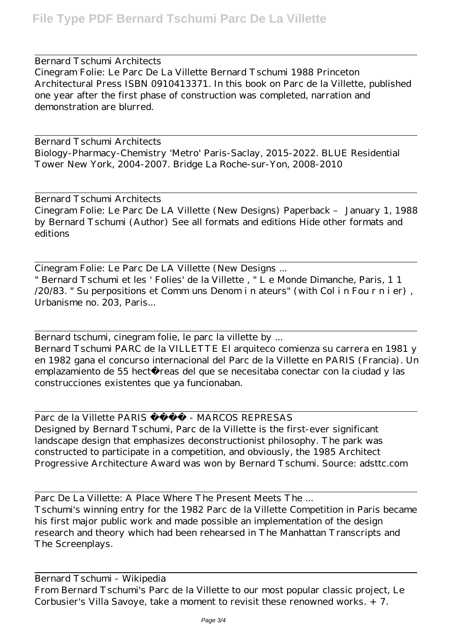Bernard Tschumi Architects Cinegram Folie: Le Parc De La Villette Bernard Tschumi 1988 Princeton Architectural Press ISBN 0910413371. In this book on Parc de la Villette, published one year after the first phase of construction was completed, narration and demonstration are blurred.

Bernard Tschumi Architects Biology-Pharmacy-Chemistry 'Metro' Paris-Saclay, 2015-2022. BLUE Residential Tower New York, 2004-2007. Bridge La Roche-sur-Yon, 2008-2010

Bernard Tschumi Architects Cinegram Folie: Le Parc De LA Villette (New Designs) Paperback – January 1, 1988 by Bernard Tschumi (Author) See all formats and editions Hide other formats and editions

Cinegram Folie: Le Parc De LA Villette (New Designs ... " Bernard Tschumi et les ' Folies' de la Villette , " L e Monde Dimanche, Paris, 1 1 /20/83. " Su perpositions et Comm uns Denom i n ateurs" (with Col i n Fou r n i er) , Urbanisme no. 203, Paris...

Bernard tschumi, cinegram folie, le parc la villette by ... Bernard Tschumi PARC de la VILLETTE El arquiteco comienza su carrera en 1981 y en 1982 gana el concurso internacional del Parc de la Villette en PARIS (Francia). Un emplazamiento de 55 hectá reas del que se necesitaba conectar con la ciudad y las construcciones existentes que ya funcionaban.

Parc de la Villette PARIS - MARCOS REPRESAS Designed by Bernard Tschumi, Parc de la Villette is the first-ever significant landscape design that emphasizes deconstructionist philosophy. The park was constructed to participate in a competition, and obviously, the 1985 Architect Progressive Architecture Award was won by Bernard Tschumi. Source: adsttc.com

Parc De La Villette: A Place Where The Present Meets The ... Tschumi's winning entry for the 1982 Parc de la Villette Competition in Paris became his first major public work and made possible an implementation of the design research and theory which had been rehearsed in The Manhattan Transcripts and The Screenplays.

Bernard Tschumi - Wikipedia From Bernard Tschumi's Parc de la Villette to our most popular classic project, Le Corbusier's Villa Savoye, take a moment to revisit these renowned works. + 7.